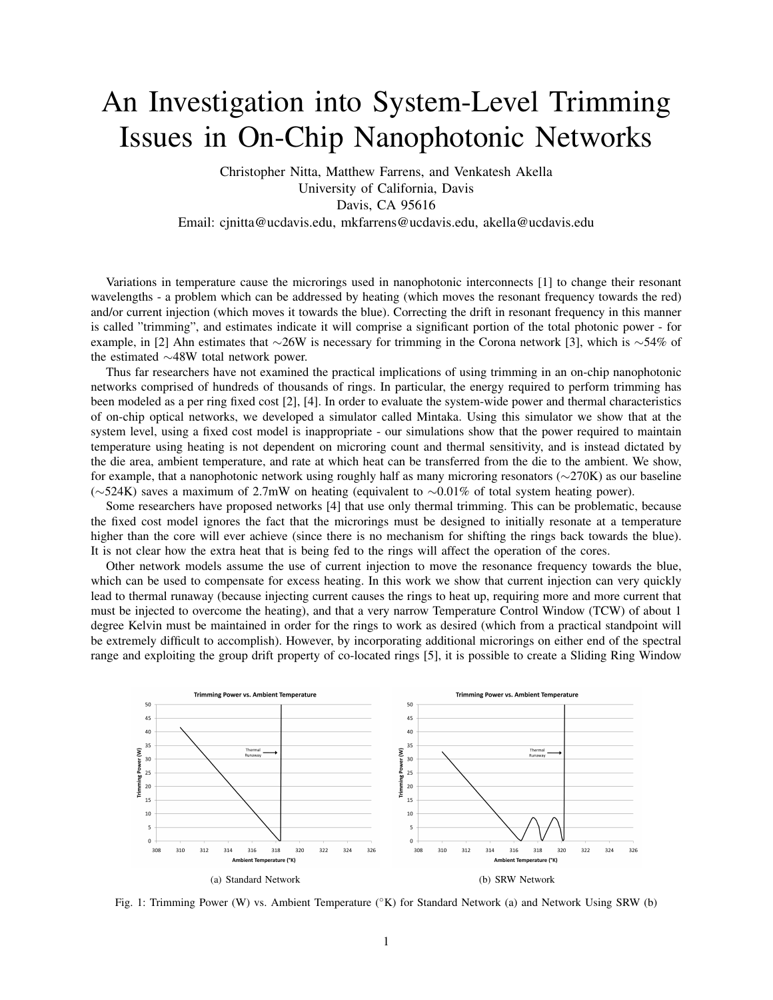## An Investigation into System-Level Trimming Issues in On-Chip Nanophotonic Networks

Christopher Nitta, Matthew Farrens, and Venkatesh Akella University of California, Davis Davis, CA 95616 Email: cjnitta@ucdavis.edu, mkfarrens@ucdavis.edu, akella@ucdavis.edu

Variations in temperature cause the microrings used in nanophotonic interconnects [1] to change their resonant wavelengths - a problem which can be addressed by heating (which moves the resonant frequency towards the red) and/or current injection (which moves it towards the blue). Correcting the drift in resonant frequency in this manner is called "trimming", and estimates indicate it will comprise a significant portion of the total photonic power - for example, in [2] Ahn estimates that ∼26W is necessary for trimming in the Corona network [3], which is ∼54% of the estimated ∼48W total network power.

Thus far researchers have not examined the practical implications of using trimming in an on-chip nanophotonic networks comprised of hundreds of thousands of rings. In particular, the energy required to perform trimming has been modeled as a per ring fixed cost [2], [4]. In order to evaluate the system-wide power and thermal characteristics of on-chip optical networks, we developed a simulator called Mintaka. Using this simulator we show that at the system level, using a fixed cost model is inappropriate - our simulations show that the power required to maintain temperature using heating is not dependent on microring count and thermal sensitivity, and is instead dictated by the die area, ambient temperature, and rate at which heat can be transferred from the die to the ambient. We show, for example, that a nanophotonic network using roughly half as many microring resonators (∼270K) as our baseline (∼524K) saves a maximum of 2.7mW on heating (equivalent to ∼0.01% of total system heating power).

Some researchers have proposed networks [4] that use only thermal trimming. This can be problematic, because the fixed cost model ignores the fact that the microrings must be designed to initially resonate at a temperature higher than the core will ever achieve (since there is no mechanism for shifting the rings back towards the blue). It is not clear how the extra heat that is being fed to the rings will affect the operation of the cores.

Other network models assume the use of current injection to move the resonance frequency towards the blue, which can be used to compensate for excess heating. In this work we show that current injection can very quickly lead to thermal runaway (because injecting current causes the rings to heat up, requiring more and more current that must be injected to overcome the heating), and that a very narrow Temperature Control Window (TCW) of about 1 degree Kelvin must be maintained in order for the rings to work as desired (which from a practical standpoint will be extremely difficult to accomplish). However, by incorporating additional microrings on either end of the spectral range and exploiting the group drift property of co-located rings [5], it is possible to create a Sliding Ring Window



Fig. 1: Trimming Power (W) vs. Ambient Temperature (°K) for Standard Network (a) and Network Using SRW (b)